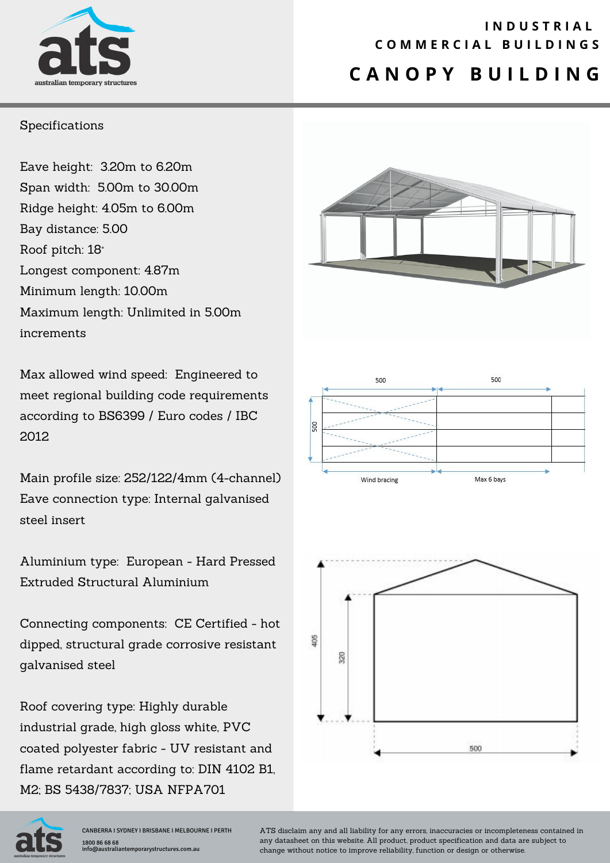

### **C A N O P Y B U I L D I N G I N D U S T R I A L C O M M E R C I A L B U I L D I N G S**

#### Specifications

Eave height: 3.20m to 6.20m Span width: 5.00m to 30.00m Ridge height: 4.05m to 6.00m Bay distance: 5.00 Roof pitch: 18° Longest component: 4.87m Minimum length: 10.00m Maximum length: Unlimited in 5.00m increments

Max allowed wind speed: Engineered to meet regional building code requirements according to BS6399 / Euro codes / IBC 2012

Main profile size: 252/122/4mm (4-channel) Eave connection type: Internal galvanised steel insert

Aluminium type: European - Hard Pressed Extruded Structural Aluminium

Connecting components: CE Certified - hot dipped, structural grade corrosive resistant galvanised steel

Roof covering type: Highly durable industrial grade, high gloss white, PVC coated polyester fabric - UV resistant and flame retardant according to: DIN 4102 B1, M2; BS 5438/7837; USA NFPA701







CANBERRA I SYDNEY I BRISBANE I MELBOURNE I PERTH 1800 86 68 68 info@australiantemporarystructures.com.au

ATS disclaim any and all liability for any errors, inaccuracies or incompleteness contained in any datasheet on this website. All product, product specification and data are subject to change without notice to improve reliability, function or design or otherwise.